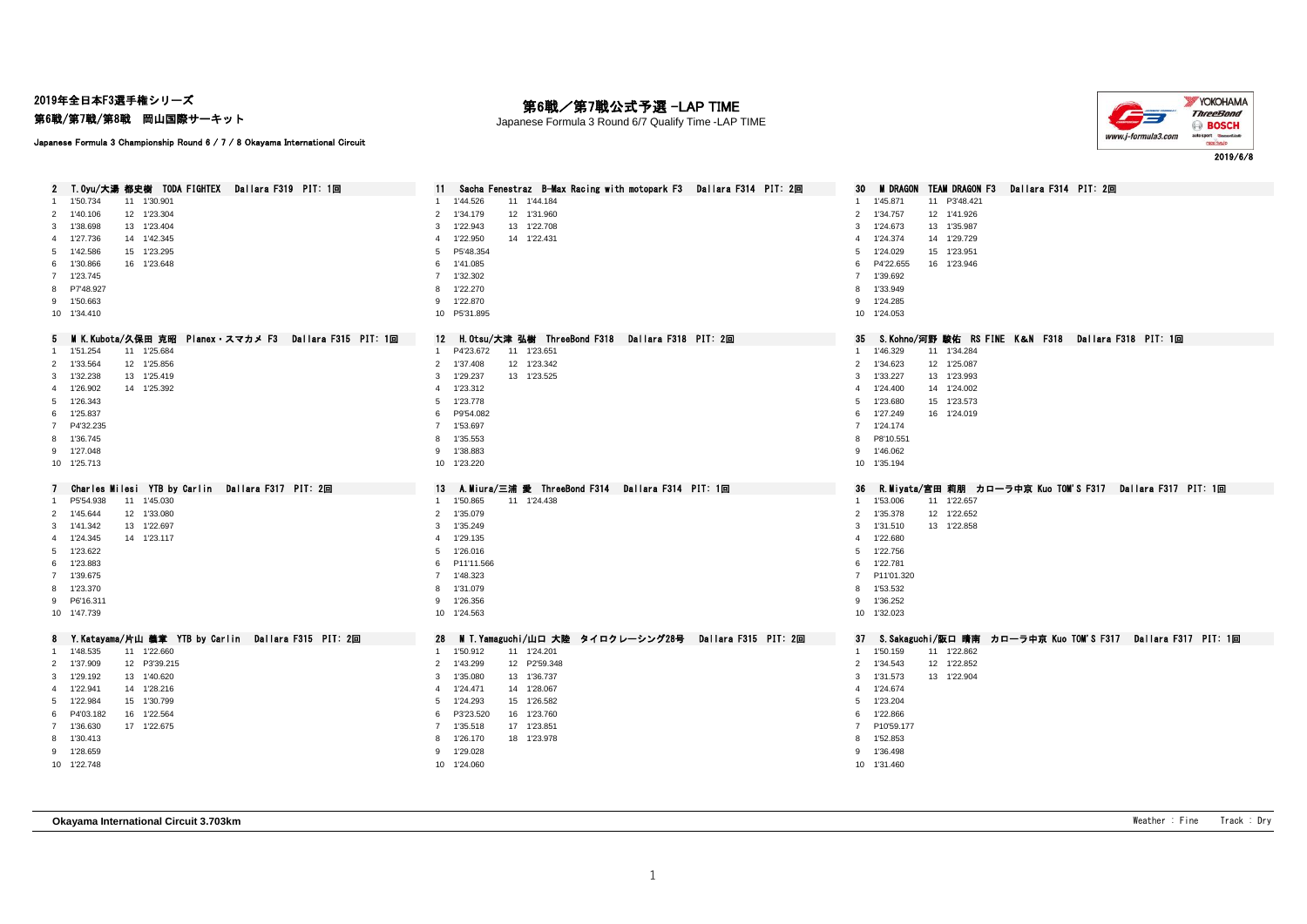2019年全日本F3選手権シリーズ

第6戦/第7戦/第8戦 岡山国際サーキット

### 第6戦/第7戦公式予選 -LAP TIME

Japanese Formula 3 Round 6/7 Qualify Time -LAP TIME



Japanese Formula 3 Championship Round 6 / 7 / 8 Okayama International Circuit

| 2 T.Oyu/大湯 都史樹 TODA FIGHTEX Dallara F319 PIT: 1回                | Sacha Fenestraz B-Max Racing with motopark F3 Dallara F314 PIT: 2回 | TEAM DRAGON F3<br><b>M</b> DRAGON<br>Dallara F314 PIT: 2回<br>30       |
|-----------------------------------------------------------------|--------------------------------------------------------------------|-----------------------------------------------------------------------|
| 1'50.734<br>11 1'30.901                                         | 1'44.526<br>11 1'44.184                                            | 1'45.871<br>11 P3'48.421                                              |
| 2 1'40.106<br>12 1'23.304                                       | 1'34.179<br>12 1'31.960<br>2                                       | 2 1'34.757<br>12 1'41.926                                             |
| 3 1'38.698<br>13 1'23.404                                       | 13 1'22.708<br>1'22.943<br>3                                       | 1'24.673<br>13 1'35.987<br>3                                          |
| 4 1'27.736<br>14 1'42.345                                       | 1'22.950<br>14 1'22.431<br>4                                       | 4 1'24.374<br>14 1'29.729                                             |
| 5 1'42.586<br>15 1'23.295                                       | P5'48.354<br>5                                                     | 1'24.029<br>15 1'23.951<br>5                                          |
| 6 1'30.866<br>16 1'23.648                                       | 1'41.085<br>6                                                      | P4'22.655<br>16 1'23.946<br>6                                         |
| 7 1'23.745                                                      | 7 1'32.302                                                         | 1'39.692<br>$\overline{7}$                                            |
| 8 P7'48.927                                                     | 1'22.270<br>8                                                      | 1'33.949<br>8                                                         |
| 9 1'50.663                                                      | 1'22.870<br>9                                                      | 9 1'24.285                                                            |
| 10 1'34.410                                                     | 10 P5'31.895                                                       | 10 1'24.053                                                           |
| - MIK.Kubota/久保田 克昭 Planex・スマカメ F3 - Dallara F315 PIT: 1回<br>5. | 12 H.Otsu/大津 弘樹 ThreeBond F318 Dailara F318 PIT: 2回                | S.Kohno.⁄河野 駿佑 RS FINE K&N F318 Dallara F318 PIT: 1回<br>35            |
| 11 1'25.684<br>1'51.254                                         | 11 1'23.651<br>P4'23.672<br>1                                      | 11 1'34.284<br>1 1'46.329                                             |
| 2 1'33.564<br>12 1'25.856                                       | 12 1'23.342<br>2 1'37.408                                          | 12 1'25.087<br>2 1'34.623                                             |
| 3 1'32.238<br>13 1'25.419                                       | 1'29.237<br>13 1'23.525<br>3                                       | 3 1'33.227<br>13 1'23.993                                             |
| 14 1'25.392<br>4 1'26.902                                       | 1'23.312<br>$\overline{4}$                                         | 1'24.400<br>14 1'24.002<br>$\overline{4}$                             |
| 5 1'26.343                                                      | 1'23.778<br>5                                                      | 1'23.680<br>15 1'23.573<br>5                                          |
| 6 1'25.837                                                      | P9'54.082<br>6                                                     | 1'27.249<br>16 1'24.019<br>6                                          |
| 7 P4'32.235                                                     | 7 1'53.697                                                         | 7 1'24.174                                                            |
| 8 1'36.745                                                      | 1'35.553<br>8                                                      | 8 P8'10.551                                                           |
| 9 1'27.048                                                      | 1'38.883<br>9                                                      | 9 1'46.062                                                            |
| 10 1'25.713                                                     | 10 1'23.220                                                        | 10 1'35.194                                                           |
|                                                                 |                                                                    |                                                                       |
|                                                                 |                                                                    |                                                                       |
| Charles Milesi YTB by Carlin Dallara F317 PIT: 2回               | A.Miura/三浦 愛 ThreeBond F314 Dallara F314 PIT: 1回<br>13             | 36<br>- R.Miyata/宮田 莉朋 カローラ中京 Kuo TOM'S F317 - Dallara F317 - PIT: 1回 |
| P5'54.938<br>11 1'45.030<br>-1                                  | 1 1'50.865<br>11 1'24.438                                          | 1 1'53.006<br>11 1'22.657                                             |
| 2 1'45.644<br>12 1'33.080                                       | 2 1'35.079                                                         | 2 1'35.378<br>12 1'22.652                                             |
| 13 1'22.697<br>3 1'41.342                                       | 1'35.249<br>3<br>$\overline{4}$                                    | 3 1'31.510<br>13 1'22.858                                             |
| 4 1'24.345<br>14 1'23.117                                       | 1'29.135                                                           | 1'22.680<br>$\overline{4}$                                            |
| 5 1'23.622                                                      | 1'26.016<br>5<br>6                                                 | 5 1'22.756                                                            |
| 6 1'23.883                                                      | P11'11.566                                                         | 1'22.781<br>6                                                         |
| 7 1'39.675                                                      | 7 1'48.323<br>8                                                    | 7 P11'01.320                                                          |
| 8 1'23.370                                                      | 1'31.079<br>1'26.356<br>9                                          | 1'53.532<br>8<br>9 1'36.252                                           |
| 9 P6'16.311<br>10 1'47.739                                      | 10 1'24.563                                                        | 10 1'32.023                                                           |
|                                                                 |                                                                    |                                                                       |
| 8 Y.Katayama/片山 義章 YTB by Carlin Dallara F315 PIT: 2回           | M T.Yamaguchi/山口 大陸 タイロクレーシング28号  Dallara F315 PIT: 2回<br>28       | 37 S.Sakaguchi/阪口 晴南 カローラ中京 Kuo TOM'S F317 Dallara F317 PIT: 1回       |
| 1'48.535<br>11 1'22.660                                         | 1'50.912<br>11 1'24.201<br>$\overline{1}$                          | 1'50.159<br>11 1'22.862<br>$\mathbf{1}$                               |
| 12 P3'39.215<br>2 1'37.909                                      | 1'43.299<br>12 P2'59.348<br>$\overline{2}$                         | 12 1'22.852<br>2 1'34.543                                             |
| 1'29.192<br>13 1'40.620<br>3                                    | 1'35.080<br>13 1'36.737<br>3                                       | 1'31.573<br>13 1'22.904<br>3                                          |
| 4 1'22.941<br>14 1'28.216                                       | 1'24.471<br>14 1'28.067<br>$\overline{4}$                          | 4 1'24.674                                                            |
| 5 1'22.984<br>15 1'30.799                                       | 1'24.293<br>15 1'26.582<br>5                                       | 1'23.204<br>5                                                         |
| 6 P4'03.182<br>16 1'22.564                                      | P3'23.520<br>16 1'23.760<br>6                                      | 6 1'22.866                                                            |
| 17 1'22.675<br>7 1'36.630                                       | 1'35.518<br>17 1'23.851<br>7                                       | 7 P10'59.177                                                          |
| 8 1'30.413                                                      | 1'26.170<br>18 1'23.978<br>8                                       | 8 1'52.853                                                            |
| 9 1'28.659<br>10 1'22.748                                       | 1'29.028<br>9<br>10 1'24.060                                       | 9 1'36.498<br>10 1'31.460                                             |